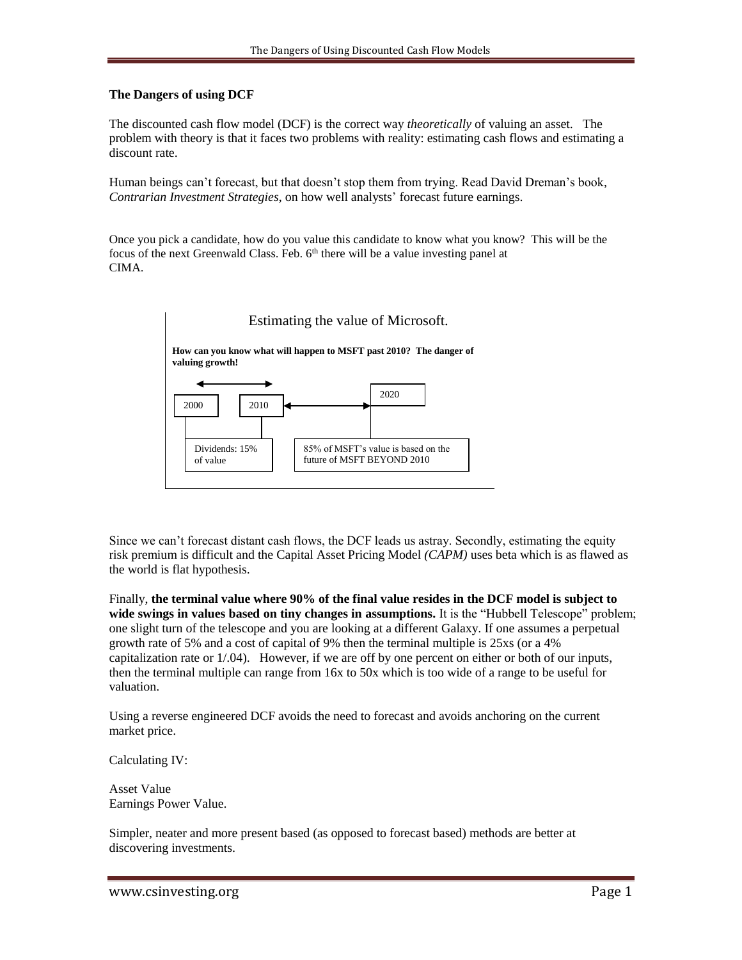# **The Dangers of using DCF**

The discounted cash flow model (DCF) is the correct way *theoretically* of valuing an asset. The problem with theory is that it faces two problems with reality: estimating cash flows and estimating a discount rate.

Human beings can't forecast, but that doesn't stop them from trying. Read David Dreman's book, *Contrarian Investment Strategies*, on how well analysts' forecast future earnings.

Once you pick a candidate, how do you value this candidate to know what you know? This will be the focus of the next Greenwald Class. Feb.  $6<sup>th</sup>$  there will be a value investing panel at CIMA.



Since we can't forecast distant cash flows, the DCF leads us astray. Secondly, estimating the equity risk premium is difficult and the Capital Asset Pricing Model *(CAPM)* uses beta which is as flawed as the world is flat hypothesis.

Finally, **the terminal value where 90% of the final value resides in the DCF model is subject to wide swings in values based on tiny changes in assumptions.** It is the "Hubbell Telescope" problem; one slight turn of the telescope and you are looking at a different Galaxy. If one assumes a perpetual growth rate of 5% and a cost of capital of 9% then the terminal multiple is 25xs (or a 4% capitalization rate or 1/.04). However, if we are off by one percent on either or both of our inputs, then the terminal multiple can range from 16x to 50x which is too wide of a range to be useful for valuation.

Using a reverse engineered DCF avoids the need to forecast and avoids anchoring on the current market price.

Calculating IV:

Asset Value Earnings Power Value.

Simpler, neater and more present based (as opposed to forecast based) methods are better at discovering investments.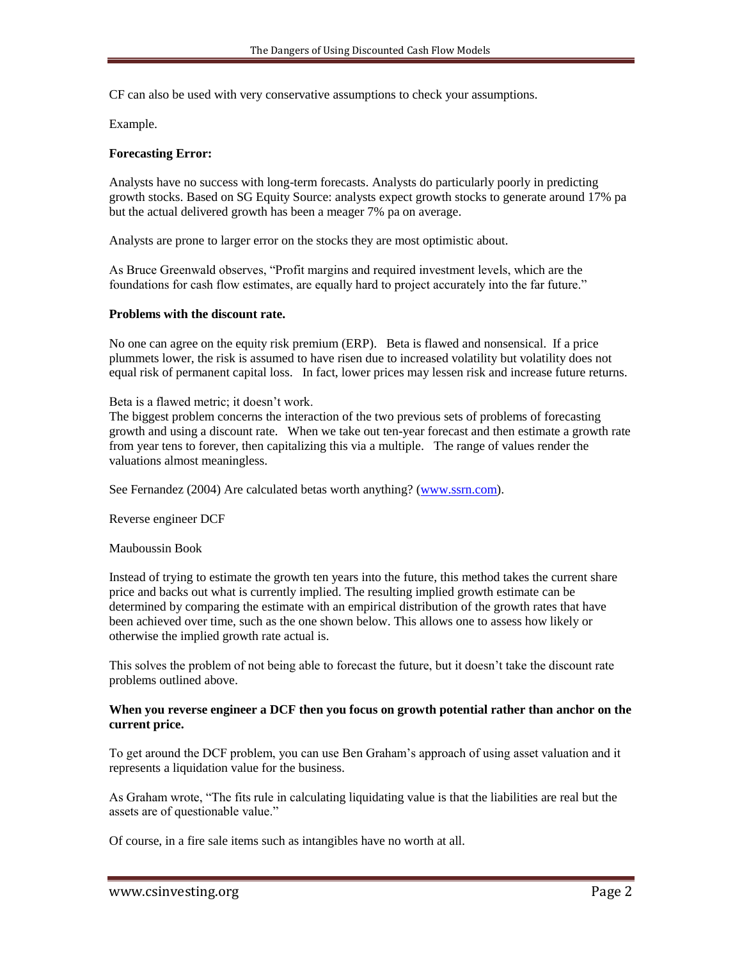CF can also be used with very conservative assumptions to check your assumptions.

Example.

# **Forecasting Error:**

Analysts have no success with long-term forecasts. Analysts do particularly poorly in predicting growth stocks. Based on SG Equity Source: analysts expect growth stocks to generate around 17% pa but the actual delivered growth has been a meager 7% pa on average.

Analysts are prone to larger error on the stocks they are most optimistic about.

As Bruce Greenwald observes, "Profit margins and required investment levels, which are the foundations for cash flow estimates, are equally hard to project accurately into the far future."

### **Problems with the discount rate.**

No one can agree on the equity risk premium (ERP). Beta is flawed and nonsensical. If a price plummets lower, the risk is assumed to have risen due to increased volatility but volatility does not equal risk of permanent capital loss. In fact, lower prices may lessen risk and increase future returns.

Beta is a flawed metric; it doesn't work.

The biggest problem concerns the interaction of the two previous sets of problems of forecasting growth and using a discount rate. When we take out ten-year forecast and then estimate a growth rate from year tens to forever, then capitalizing this via a multiple. The range of values render the valuations almost meaningless.

See Fernandez (2004) Are calculated betas worth anything? [\(www.ssrn.com\)](http://www.ssrn.com/).

Reverse engineer DCF

Mauboussin Book

Instead of trying to estimate the growth ten years into the future, this method takes the current share price and backs out what is currently implied. The resulting implied growth estimate can be determined by comparing the estimate with an empirical distribution of the growth rates that have been achieved over time, such as the one shown below. This allows one to assess how likely or otherwise the implied growth rate actual is.

This solves the problem of not being able to forecast the future, but it doesn't take the discount rate problems outlined above.

### **When you reverse engineer a DCF then you focus on growth potential rather than anchor on the current price.**

To get around the DCF problem, you can use Ben Graham's approach of using asset valuation and it represents a liquidation value for the business.

As Graham wrote, "The fits rule in calculating liquidating value is that the liabilities are real but the assets are of questionable value."

Of course, in a fire sale items such as intangibles have no worth at all.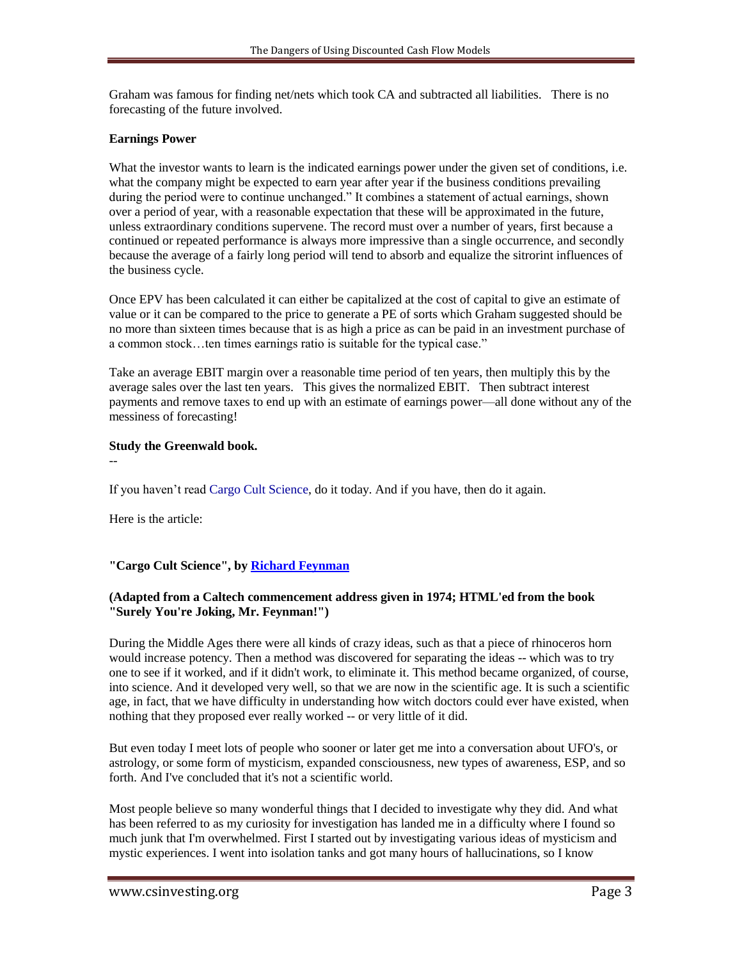Graham was famous for finding net/nets which took CA and subtracted all liabilities. There is no forecasting of the future involved.

# **Earnings Power**

What the investor wants to learn is the indicated earnings power under the given set of conditions, i.e. what the company might be expected to earn year after year if the business conditions prevailing during the period were to continue unchanged." It combines a statement of actual earnings, shown over a period of year, with a reasonable expectation that these will be approximated in the future, unless extraordinary conditions supervene. The record must over a number of years, first because a continued or repeated performance is always more impressive than a single occurrence, and secondly because the average of a fairly long period will tend to absorb and equalize the sitrorint influences of the business cycle.

Once EPV has been calculated it can either be capitalized at the cost of capital to give an estimate of value or it can be compared to the price to generate a PE of sorts which Graham suggested should be no more than sixteen times because that is as high a price as can be paid in an investment purchase of a common stock…ten times earnings ratio is suitable for the typical case."

Take an average EBIT margin over a reasonable time period of ten years, then multiply this by the average sales over the last ten years. This gives the normalized EBIT. Then subtract interest payments and remove taxes to end up with an estimate of earnings power—all done without any of the messiness of forecasting!

### **Study the Greenwald book.**

--

If you haven't read Cargo Cult Science, do it today. And if you have, then do it again.

Here is the article:

**"Cargo Cult Science", by [Richard Feynman](http://www.pd.infn.it/~loreti/images/feynman.gif)**

# **(Adapted from a Caltech commencement address given in 1974; HTML'ed from the book "Surely You're Joking, Mr. Feynman!")**

During the Middle Ages there were all kinds of crazy ideas, such as that a piece of rhinoceros horn would increase potency. Then a method was discovered for separating the ideas -- which was to try one to see if it worked, and if it didn't work, to eliminate it. This method became organized, of course, into science. And it developed very well, so that we are now in the scientific age. It is such a scientific age, in fact, that we have difficulty in understanding how witch doctors could ever have existed, when nothing that they proposed ever really worked -- or very little of it did.

But even today I meet lots of people who sooner or later get me into a conversation about UFO's, or astrology, or some form of mysticism, expanded consciousness, new types of awareness, ESP, and so forth. And I've concluded that it's not a scientific world.

Most people believe so many wonderful things that I decided to investigate why they did. And what has been referred to as my curiosity for investigation has landed me in a difficulty where I found so much junk that I'm overwhelmed. First I started out by investigating various ideas of mysticism and mystic experiences. I went into isolation tanks and got many hours of hallucinations, so I know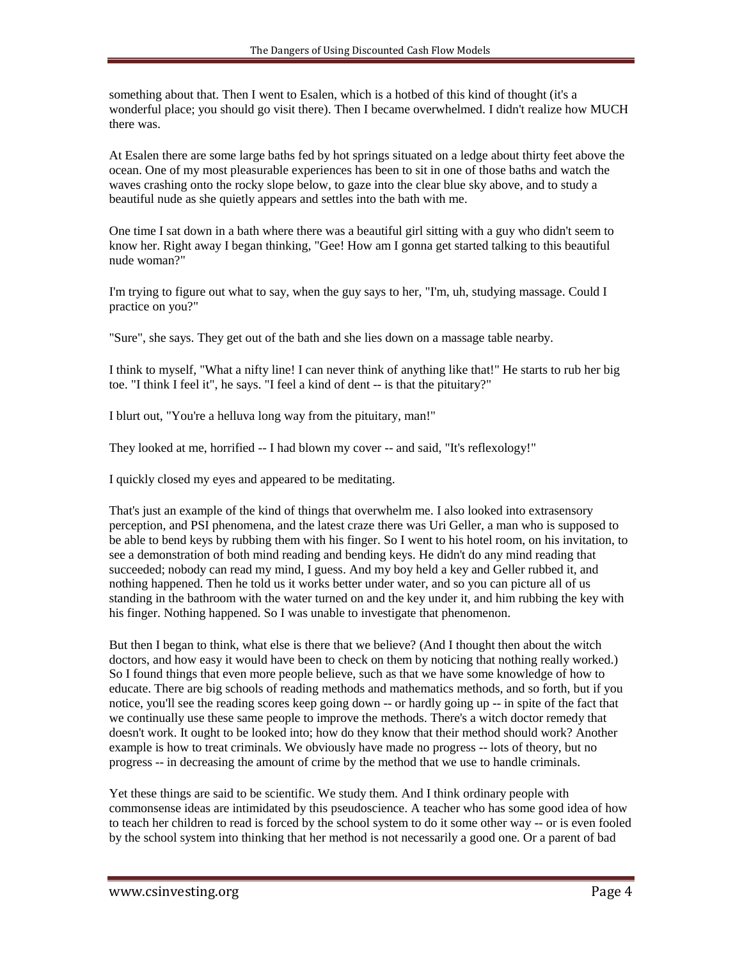something about that. Then I went to Esalen, which is a hotbed of this kind of thought (it's a wonderful place; you should go visit there). Then I became overwhelmed. I didn't realize how MUCH there was.

At Esalen there are some large baths fed by hot springs situated on a ledge about thirty feet above the ocean. One of my most pleasurable experiences has been to sit in one of those baths and watch the waves crashing onto the rocky slope below, to gaze into the clear blue sky above, and to study a beautiful nude as she quietly appears and settles into the bath with me.

One time I sat down in a bath where there was a beautiful girl sitting with a guy who didn't seem to know her. Right away I began thinking, "Gee! How am I gonna get started talking to this beautiful nude woman?"

I'm trying to figure out what to say, when the guy says to her, "I'm, uh, studying massage. Could I practice on you?"

"Sure", she says. They get out of the bath and she lies down on a massage table nearby.

I think to myself, "What a nifty line! I can never think of anything like that!" He starts to rub her big toe. "I think I feel it", he says. "I feel a kind of dent -- is that the pituitary?"

I blurt out, "You're a helluva long way from the pituitary, man!"

They looked at me, horrified -- I had blown my cover -- and said, "It's reflexology!"

I quickly closed my eyes and appeared to be meditating.

That's just an example of the kind of things that overwhelm me. I also looked into extrasensory perception, and PSI phenomena, and the latest craze there was Uri Geller, a man who is supposed to be able to bend keys by rubbing them with his finger. So I went to his hotel room, on his invitation, to see a demonstration of both mind reading and bending keys. He didn't do any mind reading that succeeded; nobody can read my mind, I guess. And my boy held a key and Geller rubbed it, and nothing happened. Then he told us it works better under water, and so you can picture all of us standing in the bathroom with the water turned on and the key under it, and him rubbing the key with his finger. Nothing happened. So I was unable to investigate that phenomenon.

But then I began to think, what else is there that we believe? (And I thought then about the witch doctors, and how easy it would have been to check on them by noticing that nothing really worked.) So I found things that even more people believe, such as that we have some knowledge of how to educate. There are big schools of reading methods and mathematics methods, and so forth, but if you notice, you'll see the reading scores keep going down -- or hardly going up -- in spite of the fact that we continually use these same people to improve the methods. There's a witch doctor remedy that doesn't work. It ought to be looked into; how do they know that their method should work? Another example is how to treat criminals. We obviously have made no progress -- lots of theory, but no progress -- in decreasing the amount of crime by the method that we use to handle criminals.

Yet these things are said to be scientific. We study them. And I think ordinary people with commonsense ideas are intimidated by this pseudoscience. A teacher who has some good idea of how to teach her children to read is forced by the school system to do it some other way -- or is even fooled by the school system into thinking that her method is not necessarily a good one. Or a parent of bad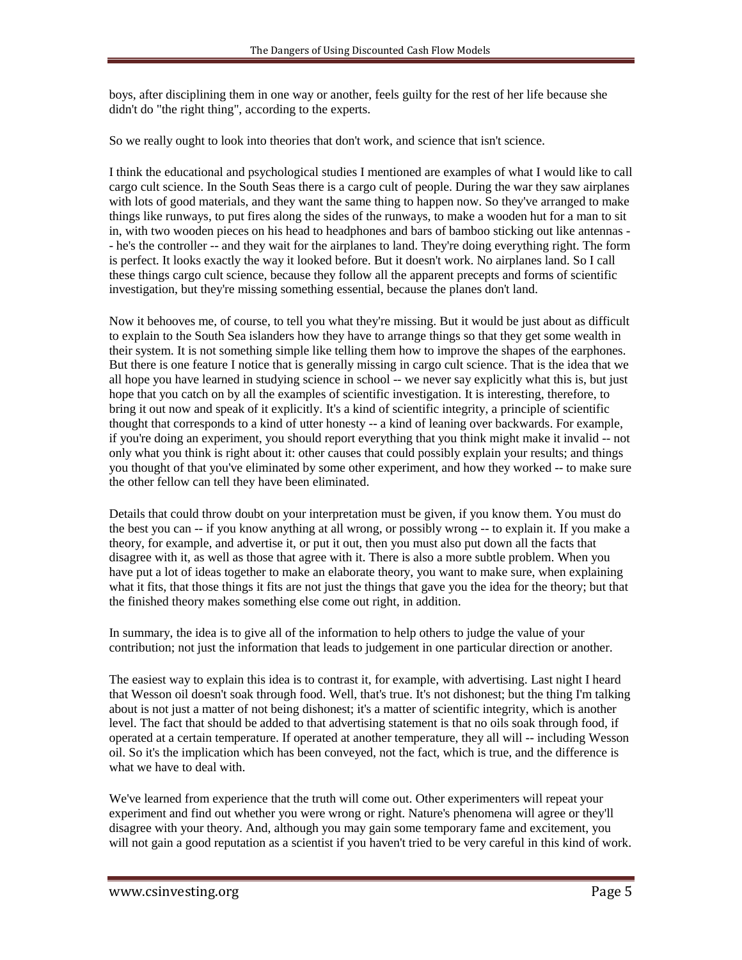boys, after disciplining them in one way or another, feels guilty for the rest of her life because she didn't do "the right thing", according to the experts.

So we really ought to look into theories that don't work, and science that isn't science.

I think the educational and psychological studies I mentioned are examples of what I would like to call cargo cult science. In the South Seas there is a cargo cult of people. During the war they saw airplanes with lots of good materials, and they want the same thing to happen now. So they've arranged to make things like runways, to put fires along the sides of the runways, to make a wooden hut for a man to sit in, with two wooden pieces on his head to headphones and bars of bamboo sticking out like antennas - - he's the controller -- and they wait for the airplanes to land. They're doing everything right. The form is perfect. It looks exactly the way it looked before. But it doesn't work. No airplanes land. So I call these things cargo cult science, because they follow all the apparent precepts and forms of scientific investigation, but they're missing something essential, because the planes don't land.

Now it behooves me, of course, to tell you what they're missing. But it would be just about as difficult to explain to the South Sea islanders how they have to arrange things so that they get some wealth in their system. It is not something simple like telling them how to improve the shapes of the earphones. But there is one feature I notice that is generally missing in cargo cult science. That is the idea that we all hope you have learned in studying science in school -- we never say explicitly what this is, but just hope that you catch on by all the examples of scientific investigation. It is interesting, therefore, to bring it out now and speak of it explicitly. It's a kind of scientific integrity, a principle of scientific thought that corresponds to a kind of utter honesty -- a kind of leaning over backwards. For example, if you're doing an experiment, you should report everything that you think might make it invalid -- not only what you think is right about it: other causes that could possibly explain your results; and things you thought of that you've eliminated by some other experiment, and how they worked -- to make sure the other fellow can tell they have been eliminated.

Details that could throw doubt on your interpretation must be given, if you know them. You must do the best you can -- if you know anything at all wrong, or possibly wrong -- to explain it. If you make a theory, for example, and advertise it, or put it out, then you must also put down all the facts that disagree with it, as well as those that agree with it. There is also a more subtle problem. When you have put a lot of ideas together to make an elaborate theory, you want to make sure, when explaining what it fits, that those things it fits are not just the things that gave you the idea for the theory; but that the finished theory makes something else come out right, in addition.

In summary, the idea is to give all of the information to help others to judge the value of your contribution; not just the information that leads to judgement in one particular direction or another.

The easiest way to explain this idea is to contrast it, for example, with advertising. Last night I heard that Wesson oil doesn't soak through food. Well, that's true. It's not dishonest; but the thing I'm talking about is not just a matter of not being dishonest; it's a matter of scientific integrity, which is another level. The fact that should be added to that advertising statement is that no oils soak through food, if operated at a certain temperature. If operated at another temperature, they all will -- including Wesson oil. So it's the implication which has been conveyed, not the fact, which is true, and the difference is what we have to deal with.

We've learned from experience that the truth will come out. Other experimenters will repeat your experiment and find out whether you were wrong or right. Nature's phenomena will agree or they'll disagree with your theory. And, although you may gain some temporary fame and excitement, you will not gain a good reputation as a scientist if you haven't tried to be very careful in this kind of work.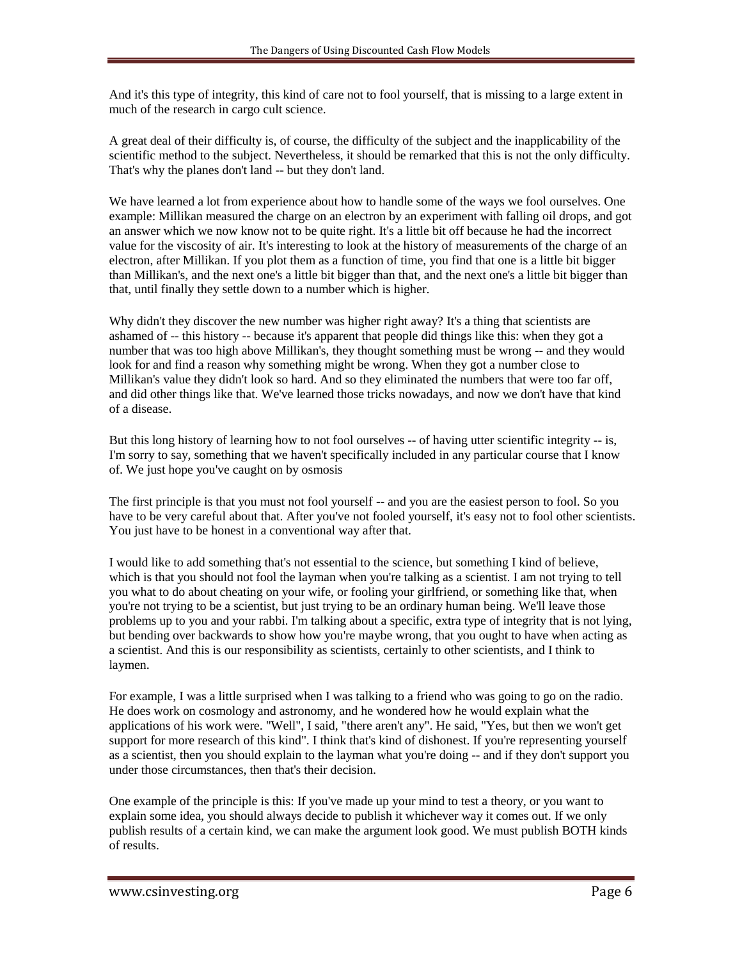And it's this type of integrity, this kind of care not to fool yourself, that is missing to a large extent in much of the research in cargo cult science.

A great deal of their difficulty is, of course, the difficulty of the subject and the inapplicability of the scientific method to the subject. Nevertheless, it should be remarked that this is not the only difficulty. That's why the planes don't land -- but they don't land.

We have learned a lot from experience about how to handle some of the ways we fool ourselves. One example: Millikan measured the charge on an electron by an experiment with falling oil drops, and got an answer which we now know not to be quite right. It's a little bit off because he had the incorrect value for the viscosity of air. It's interesting to look at the history of measurements of the charge of an electron, after Millikan. If you plot them as a function of time, you find that one is a little bit bigger than Millikan's, and the next one's a little bit bigger than that, and the next one's a little bit bigger than that, until finally they settle down to a number which is higher.

Why didn't they discover the new number was higher right away? It's a thing that scientists are ashamed of -- this history -- because it's apparent that people did things like this: when they got a number that was too high above Millikan's, they thought something must be wrong -- and they would look for and find a reason why something might be wrong. When they got a number close to Millikan's value they didn't look so hard. And so they eliminated the numbers that were too far off, and did other things like that. We've learned those tricks nowadays, and now we don't have that kind of a disease.

But this long history of learning how to not fool ourselves -- of having utter scientific integrity -- is, I'm sorry to say, something that we haven't specifically included in any particular course that I know of. We just hope you've caught on by osmosis

The first principle is that you must not fool yourself -- and you are the easiest person to fool. So you have to be very careful about that. After you've not fooled yourself, it's easy not to fool other scientists. You just have to be honest in a conventional way after that.

I would like to add something that's not essential to the science, but something I kind of believe, which is that you should not fool the layman when you're talking as a scientist. I am not trying to tell you what to do about cheating on your wife, or fooling your girlfriend, or something like that, when you're not trying to be a scientist, but just trying to be an ordinary human being. We'll leave those problems up to you and your rabbi. I'm talking about a specific, extra type of integrity that is not lying, but bending over backwards to show how you're maybe wrong, that you ought to have when acting as a scientist. And this is our responsibility as scientists, certainly to other scientists, and I think to laymen.

For example, I was a little surprised when I was talking to a friend who was going to go on the radio. He does work on cosmology and astronomy, and he wondered how he would explain what the applications of his work were. "Well", I said, "there aren't any". He said, "Yes, but then we won't get support for more research of this kind". I think that's kind of dishonest. If you're representing yourself as a scientist, then you should explain to the layman what you're doing -- and if they don't support you under those circumstances, then that's their decision.

One example of the principle is this: If you've made up your mind to test a theory, or you want to explain some idea, you should always decide to publish it whichever way it comes out. If we only publish results of a certain kind, we can make the argument look good. We must publish BOTH kinds of results.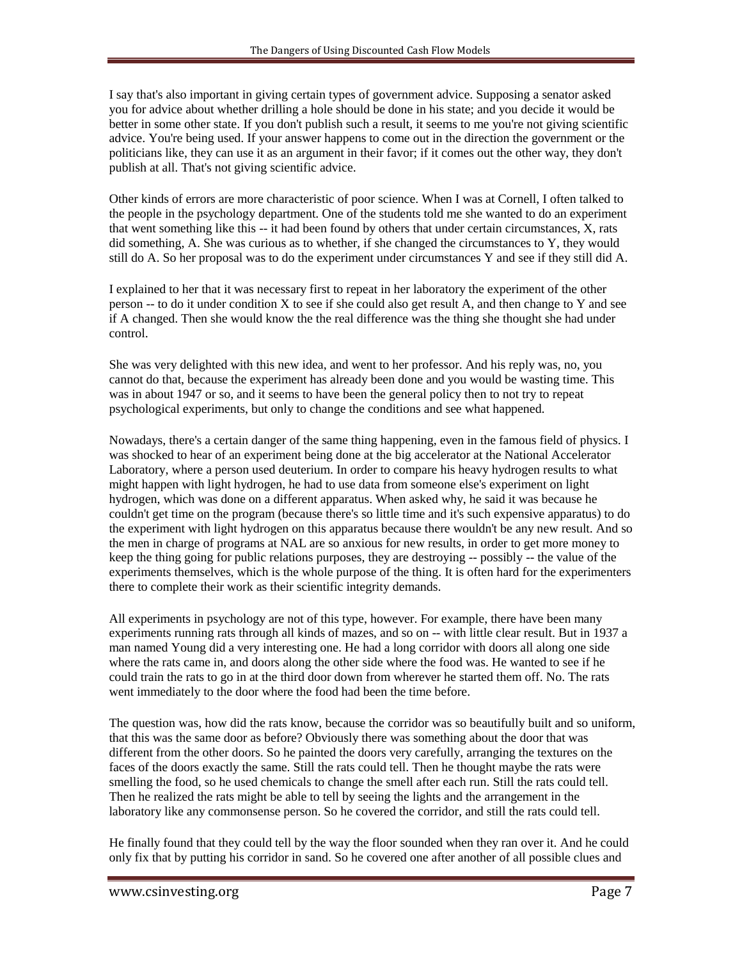I say that's also important in giving certain types of government advice. Supposing a senator asked you for advice about whether drilling a hole should be done in his state; and you decide it would be better in some other state. If you don't publish such a result, it seems to me you're not giving scientific advice. You're being used. If your answer happens to come out in the direction the government or the politicians like, they can use it as an argument in their favor; if it comes out the other way, they don't publish at all. That's not giving scientific advice.

Other kinds of errors are more characteristic of poor science. When I was at Cornell, I often talked to the people in the psychology department. One of the students told me she wanted to do an experiment that went something like this -- it had been found by others that under certain circumstances, X, rats did something, A. She was curious as to whether, if she changed the circumstances to Y, they would still do A. So her proposal was to do the experiment under circumstances Y and see if they still did A.

I explained to her that it was necessary first to repeat in her laboratory the experiment of the other person -- to do it under condition X to see if she could also get result A, and then change to Y and see if A changed. Then she would know the the real difference was the thing she thought she had under control.

She was very delighted with this new idea, and went to her professor. And his reply was, no, you cannot do that, because the experiment has already been done and you would be wasting time. This was in about 1947 or so, and it seems to have been the general policy then to not try to repeat psychological experiments, but only to change the conditions and see what happened.

Nowadays, there's a certain danger of the same thing happening, even in the famous field of physics. I was shocked to hear of an experiment being done at the big accelerator at the National Accelerator Laboratory, where a person used deuterium. In order to compare his heavy hydrogen results to what might happen with light hydrogen, he had to use data from someone else's experiment on light hydrogen, which was done on a different apparatus. When asked why, he said it was because he couldn't get time on the program (because there's so little time and it's such expensive apparatus) to do the experiment with light hydrogen on this apparatus because there wouldn't be any new result. And so the men in charge of programs at NAL are so anxious for new results, in order to get more money to keep the thing going for public relations purposes, they are destroying -- possibly -- the value of the experiments themselves, which is the whole purpose of the thing. It is often hard for the experimenters there to complete their work as their scientific integrity demands.

All experiments in psychology are not of this type, however. For example, there have been many experiments running rats through all kinds of mazes, and so on -- with little clear result. But in 1937 a man named Young did a very interesting one. He had a long corridor with doors all along one side where the rats came in, and doors along the other side where the food was. He wanted to see if he could train the rats to go in at the third door down from wherever he started them off. No. The rats went immediately to the door where the food had been the time before.

The question was, how did the rats know, because the corridor was so beautifully built and so uniform, that this was the same door as before? Obviously there was something about the door that was different from the other doors. So he painted the doors very carefully, arranging the textures on the faces of the doors exactly the same. Still the rats could tell. Then he thought maybe the rats were smelling the food, so he used chemicals to change the smell after each run. Still the rats could tell. Then he realized the rats might be able to tell by seeing the lights and the arrangement in the laboratory like any commonsense person. So he covered the corridor, and still the rats could tell.

He finally found that they could tell by the way the floor sounded when they ran over it. And he could only fix that by putting his corridor in sand. So he covered one after another of all possible clues and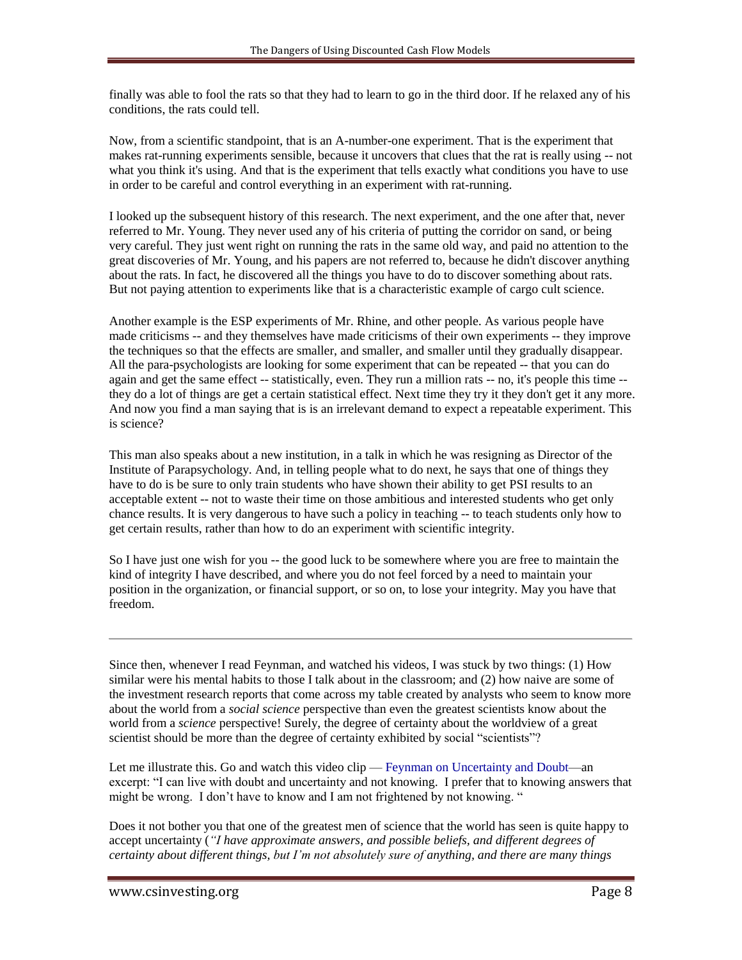finally was able to fool the rats so that they had to learn to go in the third door. If he relaxed any of his conditions, the rats could tell.

Now, from a scientific standpoint, that is an A-number-one experiment. That is the experiment that makes rat-running experiments sensible, because it uncovers that clues that the rat is really using -- not what you think it's using. And that is the experiment that tells exactly what conditions you have to use in order to be careful and control everything in an experiment with rat-running.

I looked up the subsequent history of this research. The next experiment, and the one after that, never referred to Mr. Young. They never used any of his criteria of putting the corridor on sand, or being very careful. They just went right on running the rats in the same old way, and paid no attention to the great discoveries of Mr. Young, and his papers are not referred to, because he didn't discover anything about the rats. In fact, he discovered all the things you have to do to discover something about rats. But not paying attention to experiments like that is a characteristic example of cargo cult science.

Another example is the ESP experiments of Mr. Rhine, and other people. As various people have made criticisms -- and they themselves have made criticisms of their own experiments -- they improve the techniques so that the effects are smaller, and smaller, and smaller until they gradually disappear. All the para-psychologists are looking for some experiment that can be repeated -- that you can do again and get the same effect -- statistically, even. They run a million rats -- no, it's people this time - they do a lot of things are get a certain statistical effect. Next time they try it they don't get it any more. And now you find a man saying that is is an irrelevant demand to expect a repeatable experiment. This is science?

This man also speaks about a new institution, in a talk in which he was resigning as Director of the Institute of Parapsychology. And, in telling people what to do next, he says that one of things they have to do is be sure to only train students who have shown their ability to get PSI results to an acceptable extent -- not to waste their time on those ambitious and interested students who get only chance results. It is very dangerous to have such a policy in teaching -- to teach students only how to get certain results, rather than how to do an experiment with scientific integrity.

So I have just one wish for you -- the good luck to be somewhere where you are free to maintain the kind of integrity I have described, and where you do not feel forced by a need to maintain your position in the organization, or financial support, or so on, to lose your integrity. May you have that freedom.

Since then, whenever I read Feynman, and watched his videos, I was stuck by two things: (1) How similar were his mental habits to those I talk about in the classroom; and (2) how naive are some of the investment research reports that come across my table created by analysts who seem to know more about the world from a *social science* perspective than even the greatest scientists know about the world from a *science* perspective! Surely, the degree of certainty about the worldview of a great scientist should be more than the degree of certainty exhibited by social "scientists"?

Let me illustrate this. Go and watch this video clip — Feynman on Uncertainty and Doubt—an excerpt: "I can live with doubt and uncertainty and not knowing. I prefer that to knowing answers that might be wrong. I don't have to know and I am not frightened by not knowing. "

Does it not bother you that one of the greatest men of science that the world has seen is quite happy to accept uncertainty (*"I have approximate answers, and possible beliefs, and different degrees of certainty about different things, but I'm not absolutely sure of anything, and there are many things*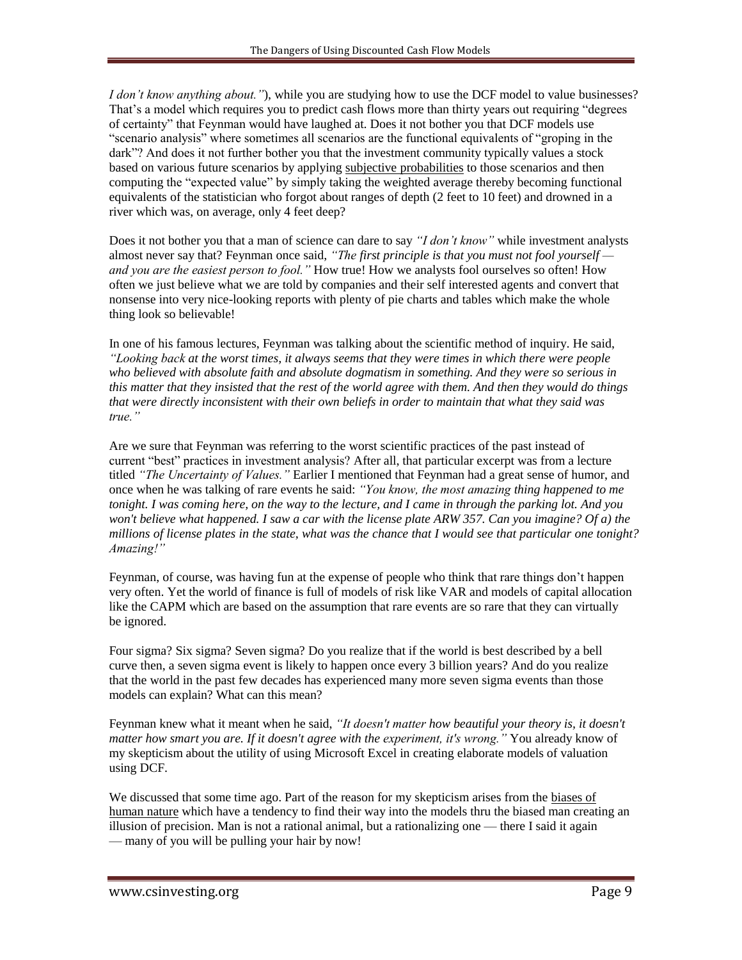*I don't know anything about."*), while you are studying how to use the DCF model to value businesses? That's a model which requires you to predict cash flows more than thirty years out requiring "degrees of certainty" that Feynman would have laughed at. Does it not bother you that DCF models use "scenario analysis" where sometimes all scenarios are the functional equivalents of "groping in the dark"? And does it not further bother you that the investment community typically values a stock based on various future scenarios by applying subjective probabilities to those scenarios and then computing the "expected value" by simply taking the weighted average thereby becoming functional equivalents of the statistician who forgot about ranges of depth (2 feet to 10 feet) and drowned in a river which was, on average, only 4 feet deep?

Does it not bother you that a man of science can dare to say *"I don't know"* while investment analysts almost never say that? Feynman once said, *"The first principle is that you must not fool yourself and you are the easiest person to fool."* How true! How we analysts fool ourselves so often! How often we just believe what we are told by companies and their self interested agents and convert that nonsense into very nice-looking reports with plenty of pie charts and tables which make the whole thing look so believable!

In one of his famous lectures, Feynman was talking about the scientific method of inquiry. He said, *"Looking back at the worst times, it always seems that they were times in which there were people who believed with absolute faith and absolute dogmatism in something. And they were so serious in this matter that they insisted that the rest of the world agree with them. And then they would do things that were directly inconsistent with their own beliefs in order to maintain that what they said was true."*

Are we sure that Feynman was referring to the worst scientific practices of the past instead of current "best" practices in investment analysis? After all, that particular excerpt was from a lecture titled *"The Uncertainty of Values."* Earlier I mentioned that Feynman had a great sense of humor, and once when he was talking of rare events he said: *"You know, the most amazing thing happened to me tonight. I was coming here, on the way to the lecture, and I came in through the parking lot. And you won't believe what happened. I saw a car with the license plate ARW 357. Can you imagine? Of a) the millions of license plates in the state, what was the chance that I would see that particular one tonight? Amazing!"*

Feynman, of course, was having fun at the expense of people who think that rare things don't happen very often. Yet the world of finance is full of models of risk like VAR and models of capital allocation like the CAPM which are based on the assumption that rare events are so rare that they can virtually be ignored.

Four sigma? Six sigma? Seven sigma? Do you realize that if the world is best described by a bell curve then, a seven sigma event is likely to happen once every 3 billion years? And do you realize that the world in the past few decades has experienced many more seven sigma events than those models can explain? What can this mean?

Feynman knew what it meant when he said, *"It doesn't matter how beautiful your theory is, it doesn't matter how smart you are. If it doesn't agree with the experiment, it's wrong."* You already know of my skepticism about the utility of using Microsoft Excel in creating elaborate models of valuation using DCF.

We discussed that some time ago. Part of the reason for my skepticism arises from the biases of human nature which have a tendency to find their way into the models thru the biased man creating an illusion of precision. Man is not a rational animal, but a rationalizing one — there I said it again — many of you will be pulling your hair by now!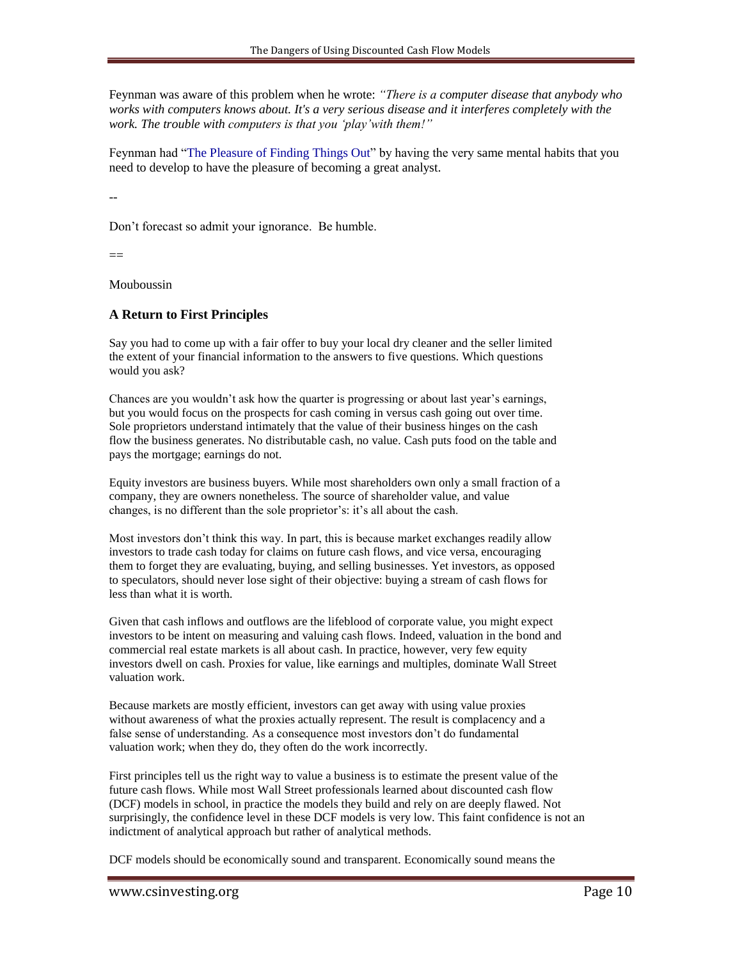Feynman was aware of this problem when he wrote: *"There is a computer disease that anybody who works with computers knows about. It's a very serious disease and it interferes completely with the work. The trouble with computers is that you 'play'with them!"*

Feynman had "The Pleasure of Finding Things Out" by having the very same mental habits that you need to develop to have the pleasure of becoming a great analyst.

--

Don't forecast so admit your ignorance. Be humble.

 $=$ 

Mouboussin

# **A Return to First Principles**

Say you had to come up with a fair offer to buy your local dry cleaner and the seller limited the extent of your financial information to the answers to five questions. Which questions would you ask?

Chances are you wouldn't ask how the quarter is progressing or about last year's earnings, but you would focus on the prospects for cash coming in versus cash going out over time. Sole proprietors understand intimately that the value of their business hinges on the cash flow the business generates. No distributable cash, no value. Cash puts food on the table and pays the mortgage; earnings do not.

Equity investors are business buyers. While most shareholders own only a small fraction of a company, they are owners nonetheless. The source of shareholder value, and value changes, is no different than the sole proprietor's: it's all about the cash.

Most investors don't think this way. In part, this is because market exchanges readily allow investors to trade cash today for claims on future cash flows, and vice versa, encouraging them to forget they are evaluating, buying, and selling businesses. Yet investors, as opposed to speculators, should never lose sight of their objective: buying a stream of cash flows for less than what it is worth.

Given that cash inflows and outflows are the lifeblood of corporate value, you might expect investors to be intent on measuring and valuing cash flows. Indeed, valuation in the bond and commercial real estate markets is all about cash. In practice, however, very few equity investors dwell on cash. Proxies for value, like earnings and multiples, dominate Wall Street valuation work.

Because markets are mostly efficient, investors can get away with using value proxies without awareness of what the proxies actually represent. The result is complacency and a false sense of understanding. As a consequence most investors don't do fundamental valuation work; when they do, they often do the work incorrectly.

First principles tell us the right way to value a business is to estimate the present value of the future cash flows. While most Wall Street professionals learned about discounted cash flow (DCF) models in school, in practice the models they build and rely on are deeply flawed. Not surprisingly, the confidence level in these DCF models is very low. This faint confidence is not an indictment of analytical approach but rather of analytical methods.

DCF models should be economically sound and transparent. Economically sound means the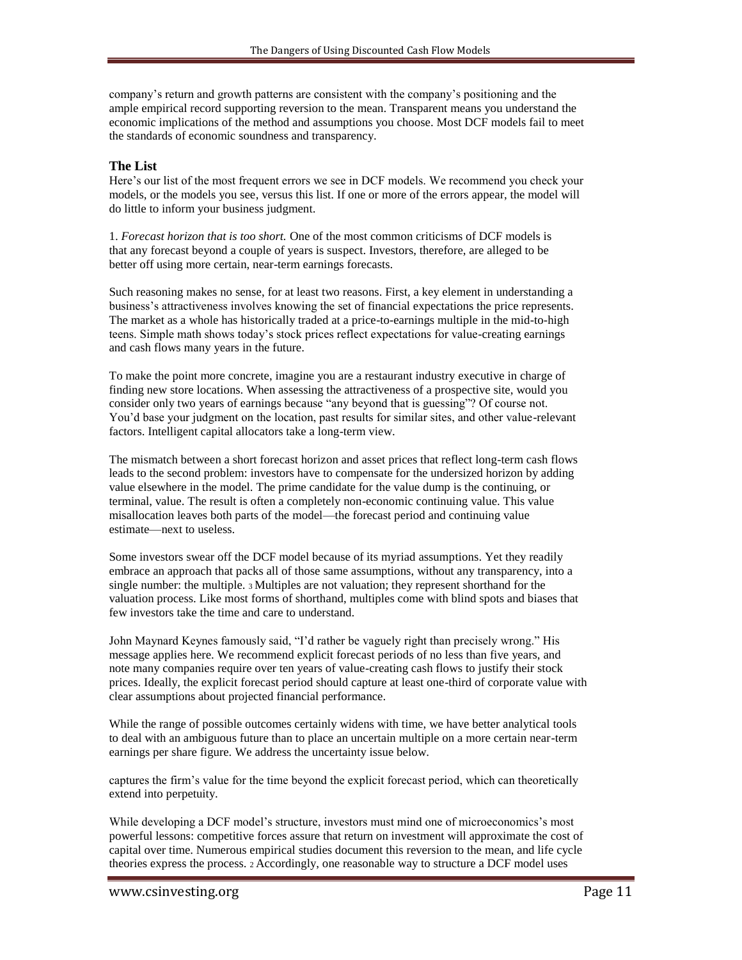company's return and growth patterns are consistent with the company's positioning and the ample empirical record supporting reversion to the mean. Transparent means you understand the economic implications of the method and assumptions you choose. Most DCF models fail to meet the standards of economic soundness and transparency.

# **The List**

Here's our list of the most frequent errors we see in DCF models. We recommend you check your models, or the models you see, versus this list. If one or more of the errors appear, the model will do little to inform your business judgment.

1. *Forecast horizon that is too short.* One of the most common criticisms of DCF models is that any forecast beyond a couple of years is suspect. Investors, therefore, are alleged to be better off using more certain, near-term earnings forecasts.

Such reasoning makes no sense, for at least two reasons. First, a key element in understanding a business's attractiveness involves knowing the set of financial expectations the price represents. The market as a whole has historically traded at a price-to-earnings multiple in the mid-to-high teens. Simple math shows today's stock prices reflect expectations for value-creating earnings and cash flows many years in the future.

To make the point more concrete, imagine you are a restaurant industry executive in charge of finding new store locations. When assessing the attractiveness of a prospective site, would you consider only two years of earnings because "any beyond that is guessing"? Of course not. You'd base your judgment on the location, past results for similar sites, and other value-relevant factors. Intelligent capital allocators take a long-term view.

The mismatch between a short forecast horizon and asset prices that reflect long-term cash flows leads to the second problem: investors have to compensate for the undersized horizon by adding value elsewhere in the model. The prime candidate for the value dump is the continuing, or terminal, value. The result is often a completely non-economic continuing value. This value misallocation leaves both parts of the model—the forecast period and continuing value estimate—next to useless.

Some investors swear off the DCF model because of its myriad assumptions. Yet they readily embrace an approach that packs all of those same assumptions, without any transparency, into a single number: the multiple. 3 Multiples are not valuation; they represent shorthand for the valuation process. Like most forms of shorthand, multiples come with blind spots and biases that few investors take the time and care to understand.

John Maynard Keynes famously said, "I'd rather be vaguely right than precisely wrong." His message applies here. We recommend explicit forecast periods of no less than five years, and note many companies require over ten years of value-creating cash flows to justify their stock prices. Ideally, the explicit forecast period should capture at least one-third of corporate value with clear assumptions about projected financial performance.

While the range of possible outcomes certainly widens with time, we have better analytical tools to deal with an ambiguous future than to place an uncertain multiple on a more certain near-term earnings per share figure. We address the uncertainty issue below.

captures the firm's value for the time beyond the explicit forecast period, which can theoretically extend into perpetuity.

While developing a DCF model's structure, investors must mind one of microeconomics's most powerful lessons: competitive forces assure that return on investment will approximate the cost of capital over time. Numerous empirical studies document this reversion to the mean, and life cycle theories express the process. 2 Accordingly, one reasonable way to structure a DCF model uses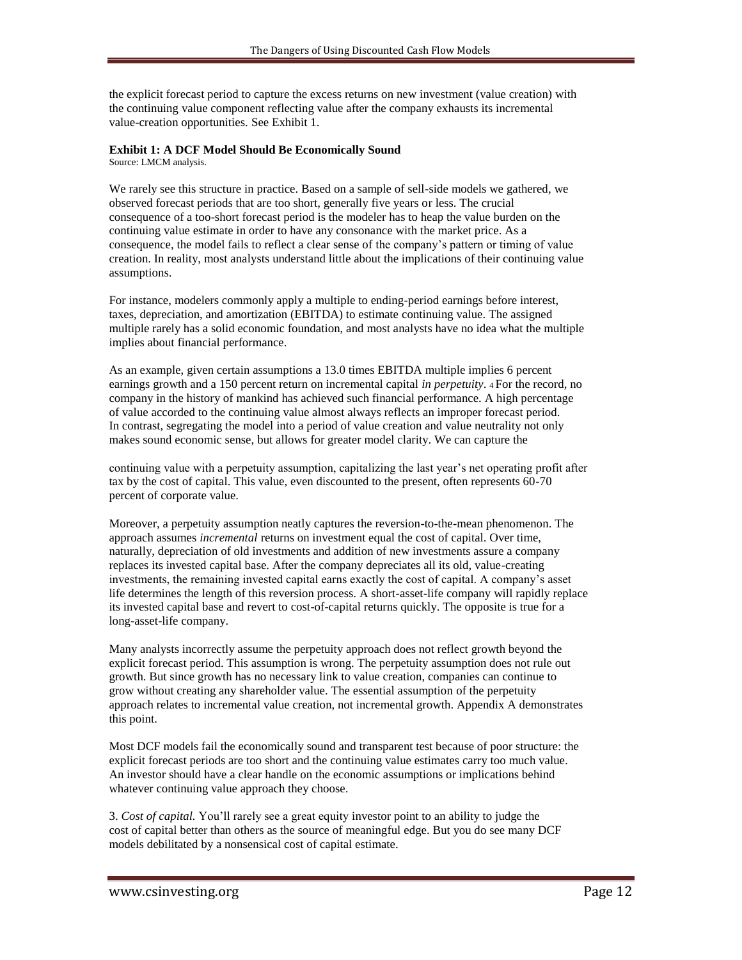the explicit forecast period to capture the excess returns on new investment (value creation) with the continuing value component reflecting value after the company exhausts its incremental value-creation opportunities. See Exhibit 1.

# **Exhibit 1: A DCF Model Should Be Economically Sound**

Source: LMCM analysis.

We rarely see this structure in practice. Based on a sample of sell-side models we gathered, we observed forecast periods that are too short, generally five years or less. The crucial consequence of a too-short forecast period is the modeler has to heap the value burden on the continuing value estimate in order to have any consonance with the market price. As a consequence, the model fails to reflect a clear sense of the company's pattern or timing of value creation. In reality, most analysts understand little about the implications of their continuing value assumptions.

For instance, modelers commonly apply a multiple to ending-period earnings before interest, taxes, depreciation, and amortization (EBITDA) to estimate continuing value. The assigned multiple rarely has a solid economic foundation, and most analysts have no idea what the multiple implies about financial performance.

As an example, given certain assumptions a 13.0 times EBITDA multiple implies 6 percent earnings growth and a 150 percent return on incremental capital *in perpetuity*. 4 For the record, no company in the history of mankind has achieved such financial performance. A high percentage of value accorded to the continuing value almost always reflects an improper forecast period. In contrast, segregating the model into a period of value creation and value neutrality not only makes sound economic sense, but allows for greater model clarity. We can capture the

continuing value with a perpetuity assumption, capitalizing the last year's net operating profit after tax by the cost of capital. This value, even discounted to the present, often represents 60-70 percent of corporate value.

Moreover, a perpetuity assumption neatly captures the reversion-to-the-mean phenomenon. The approach assumes *incremental* returns on investment equal the cost of capital. Over time, naturally, depreciation of old investments and addition of new investments assure a company replaces its invested capital base. After the company depreciates all its old, value-creating investments, the remaining invested capital earns exactly the cost of capital. A company's asset life determines the length of this reversion process. A short-asset-life company will rapidly replace its invested capital base and revert to cost-of-capital returns quickly. The opposite is true for a long-asset-life company.

Many analysts incorrectly assume the perpetuity approach does not reflect growth beyond the explicit forecast period. This assumption is wrong. The perpetuity assumption does not rule out growth. But since growth has no necessary link to value creation, companies can continue to grow without creating any shareholder value. The essential assumption of the perpetuity approach relates to incremental value creation, not incremental growth. Appendix A demonstrates this point.

Most DCF models fail the economically sound and transparent test because of poor structure: the explicit forecast periods are too short and the continuing value estimates carry too much value. An investor should have a clear handle on the economic assumptions or implications behind whatever continuing value approach they choose.

3. *Cost of capital.* You'll rarely see a great equity investor point to an ability to judge the cost of capital better than others as the source of meaningful edge. But you do see many DCF models debilitated by a nonsensical cost of capital estimate.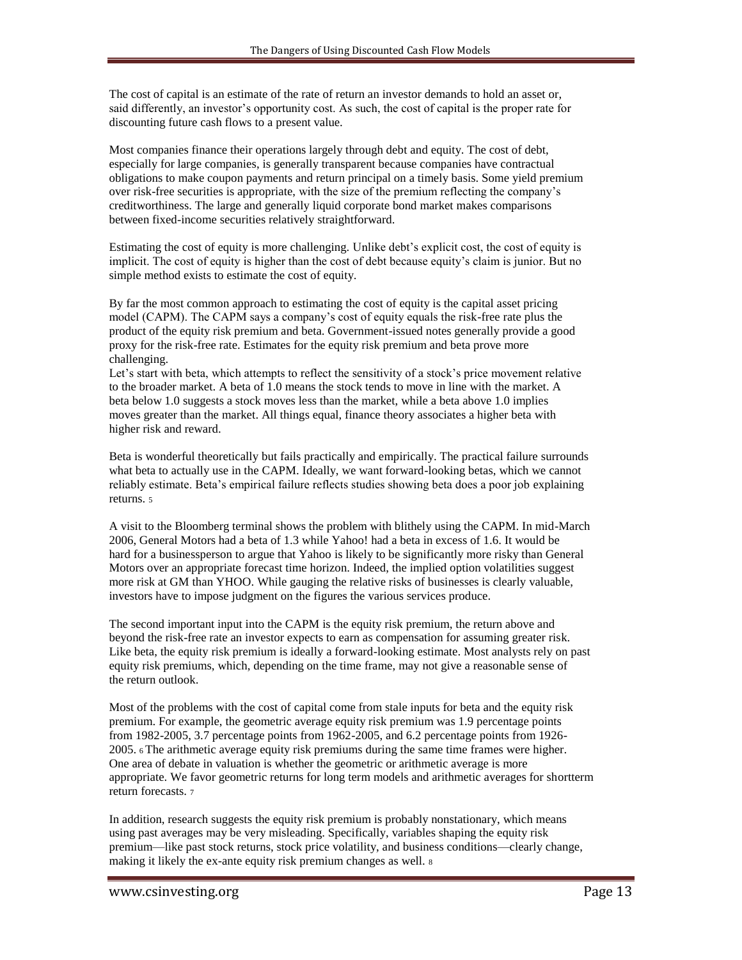The cost of capital is an estimate of the rate of return an investor demands to hold an asset or, said differently, an investor's opportunity cost. As such, the cost of capital is the proper rate for discounting future cash flows to a present value.

Most companies finance their operations largely through debt and equity. The cost of debt, especially for large companies, is generally transparent because companies have contractual obligations to make coupon payments and return principal on a timely basis. Some yield premium over risk-free securities is appropriate, with the size of the premium reflecting the company's creditworthiness. The large and generally liquid corporate bond market makes comparisons between fixed-income securities relatively straightforward.

Estimating the cost of equity is more challenging. Unlike debt's explicit cost, the cost of equity is implicit. The cost of equity is higher than the cost of debt because equity's claim is junior. But no simple method exists to estimate the cost of equity.

By far the most common approach to estimating the cost of equity is the capital asset pricing model (CAPM). The CAPM says a company's cost of equity equals the risk-free rate plus the product of the equity risk premium and beta. Government-issued notes generally provide a good proxy for the risk-free rate. Estimates for the equity risk premium and beta prove more challenging.

Let's start with beta, which attempts to reflect the sensitivity of a stock's price movement relative to the broader market. A beta of 1.0 means the stock tends to move in line with the market. A beta below 1.0 suggests a stock moves less than the market, while a beta above 1.0 implies moves greater than the market. All things equal, finance theory associates a higher beta with higher risk and reward.

Beta is wonderful theoretically but fails practically and empirically. The practical failure surrounds what beta to actually use in the CAPM. Ideally, we want forward-looking betas, which we cannot reliably estimate. Beta's empirical failure reflects studies showing beta does a poor job explaining returns. <sup>5</sup>

A visit to the Bloomberg terminal shows the problem with blithely using the CAPM. In mid-March 2006, General Motors had a beta of 1.3 while Yahoo! had a beta in excess of 1.6. It would be hard for a businessperson to argue that Yahoo is likely to be significantly more risky than General Motors over an appropriate forecast time horizon. Indeed, the implied option volatilities suggest more risk at GM than YHOO. While gauging the relative risks of businesses is clearly valuable, investors have to impose judgment on the figures the various services produce.

The second important input into the CAPM is the equity risk premium, the return above and beyond the risk-free rate an investor expects to earn as compensation for assuming greater risk. Like beta, the equity risk premium is ideally a forward-looking estimate. Most analysts rely on past equity risk premiums, which, depending on the time frame, may not give a reasonable sense of the return outlook.

Most of the problems with the cost of capital come from stale inputs for beta and the equity risk premium. For example, the geometric average equity risk premium was 1.9 percentage points from 1982-2005, 3.7 percentage points from 1962-2005, and 6.2 percentage points from 1926- 2005. 6 The arithmetic average equity risk premiums during the same time frames were higher. One area of debate in valuation is whether the geometric or arithmetic average is more appropriate. We favor geometric returns for long term models and arithmetic averages for shortterm return forecasts. <sup>7</sup>

In addition, research suggests the equity risk premium is probably nonstationary, which means using past averages may be very misleading. Specifically, variables shaping the equity risk premium—like past stock returns, stock price volatility, and business conditions—clearly change, making it likely the ex-ante equity risk premium changes as well. 8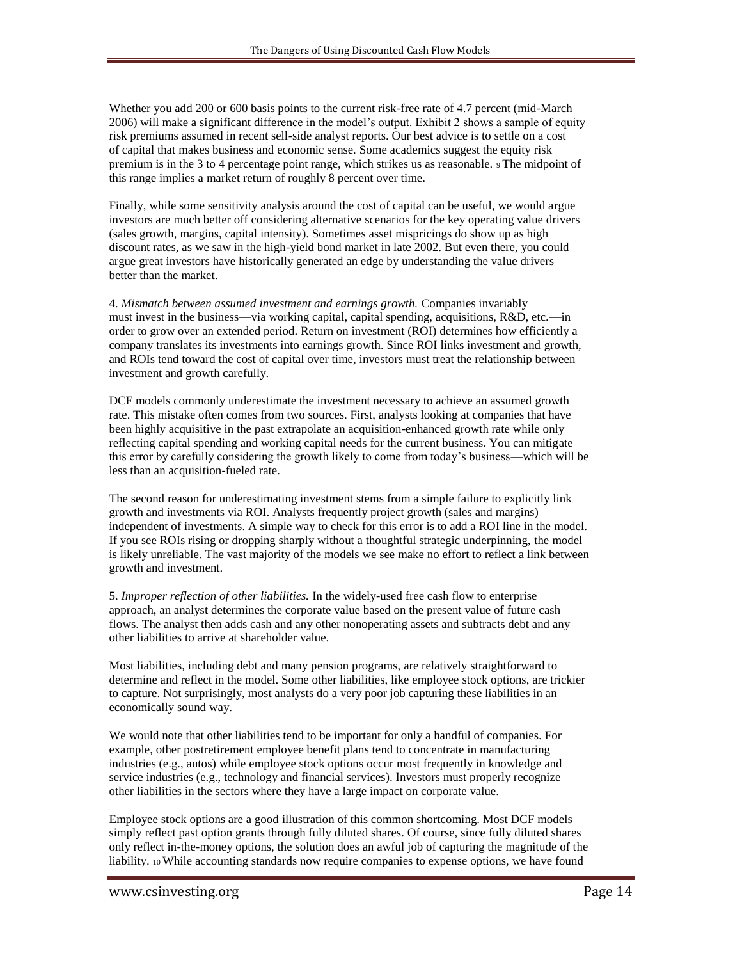Whether you add 200 or 600 basis points to the current risk-free rate of 4.7 percent (mid-March 2006) will make a significant difference in the model's output. Exhibit 2 shows a sample of equity risk premiums assumed in recent sell-side analyst reports. Our best advice is to settle on a cost of capital that makes business and economic sense. Some academics suggest the equity risk premium is in the 3 to 4 percentage point range, which strikes us as reasonable. 9 The midpoint of this range implies a market return of roughly 8 percent over time.

Finally, while some sensitivity analysis around the cost of capital can be useful, we would argue investors are much better off considering alternative scenarios for the key operating value drivers (sales growth, margins, capital intensity). Sometimes asset mispricings do show up as high discount rates, as we saw in the high-yield bond market in late 2002. But even there, you could argue great investors have historically generated an edge by understanding the value drivers better than the market.

4. *Mismatch between assumed investment and earnings growth.* Companies invariably must invest in the business—via working capital, capital spending, acquisitions, R&D, etc.—in order to grow over an extended period. Return on investment (ROI) determines how efficiently a company translates its investments into earnings growth. Since ROI links investment and growth, and ROIs tend toward the cost of capital over time, investors must treat the relationship between investment and growth carefully.

DCF models commonly underestimate the investment necessary to achieve an assumed growth rate. This mistake often comes from two sources. First, analysts looking at companies that have been highly acquisitive in the past extrapolate an acquisition-enhanced growth rate while only reflecting capital spending and working capital needs for the current business. You can mitigate this error by carefully considering the growth likely to come from today's business—which will be less than an acquisition-fueled rate.

The second reason for underestimating investment stems from a simple failure to explicitly link growth and investments via ROI. Analysts frequently project growth (sales and margins) independent of investments. A simple way to check for this error is to add a ROI line in the model. If you see ROIs rising or dropping sharply without a thoughtful strategic underpinning, the model is likely unreliable. The vast majority of the models we see make no effort to reflect a link between growth and investment.

5. *Improper reflection of other liabilities.* In the widely-used free cash flow to enterprise approach, an analyst determines the corporate value based on the present value of future cash flows. The analyst then adds cash and any other nonoperating assets and subtracts debt and any other liabilities to arrive at shareholder value.

Most liabilities, including debt and many pension programs, are relatively straightforward to determine and reflect in the model. Some other liabilities, like employee stock options, are trickier to capture. Not surprisingly, most analysts do a very poor job capturing these liabilities in an economically sound way.

We would note that other liabilities tend to be important for only a handful of companies. For example, other postretirement employee benefit plans tend to concentrate in manufacturing industries (e.g., autos) while employee stock options occur most frequently in knowledge and service industries (e.g., technology and financial services). Investors must properly recognize other liabilities in the sectors where they have a large impact on corporate value.

Employee stock options are a good illustration of this common shortcoming. Most DCF models simply reflect past option grants through fully diluted shares. Of course, since fully diluted shares only reflect in-the-money options, the solution does an awful job of capturing the magnitude of the liability. 10 While accounting standards now require companies to expense options, we have found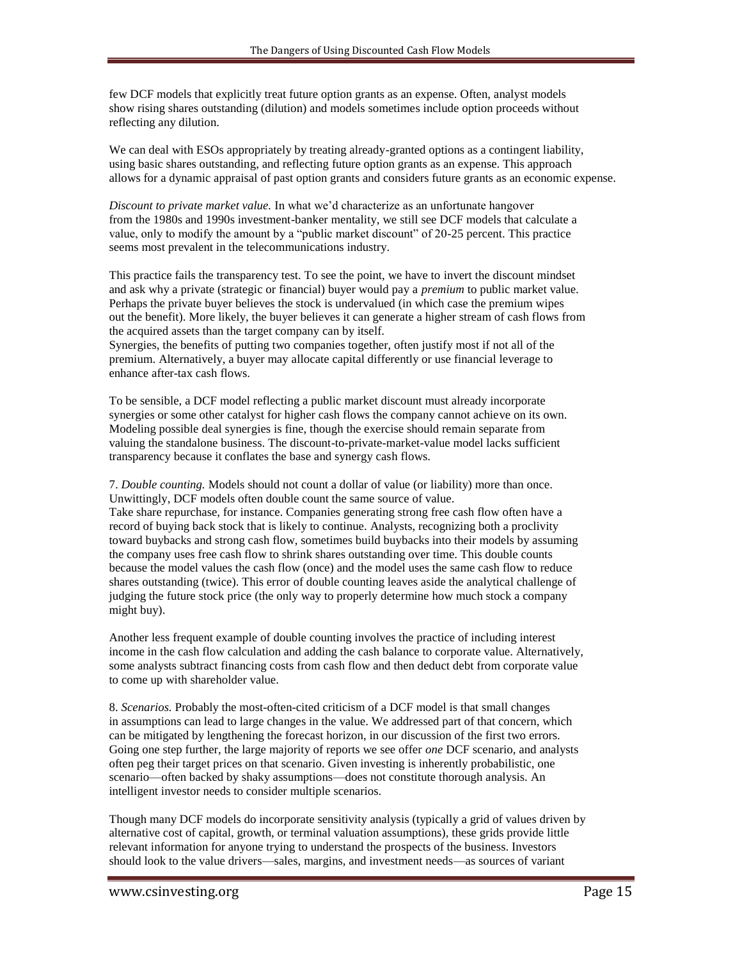few DCF models that explicitly treat future option grants as an expense. Often, analyst models show rising shares outstanding (dilution) and models sometimes include option proceeds without reflecting any dilution.

We can deal with ESOs appropriately by treating already-granted options as a contingent liability, using basic shares outstanding, and reflecting future option grants as an expense. This approach allows for a dynamic appraisal of past option grants and considers future grants as an economic expense.

*Discount to private market value.* In what we'd characterize as an unfortunate hangover from the 1980s and 1990s investment-banker mentality, we still see DCF models that calculate a value, only to modify the amount by a "public market discount" of 20-25 percent. This practice seems most prevalent in the telecommunications industry.

This practice fails the transparency test. To see the point, we have to invert the discount mindset and ask why a private (strategic or financial) buyer would pay a *premium* to public market value. Perhaps the private buyer believes the stock is undervalued (in which case the premium wipes out the benefit). More likely, the buyer believes it can generate a higher stream of cash flows from the acquired assets than the target company can by itself.

Synergies, the benefits of putting two companies together, often justify most if not all of the premium. Alternatively, a buyer may allocate capital differently or use financial leverage to enhance after-tax cash flows.

To be sensible, a DCF model reflecting a public market discount must already incorporate synergies or some other catalyst for higher cash flows the company cannot achieve on its own. Modeling possible deal synergies is fine, though the exercise should remain separate from valuing the standalone business. The discount-to-private-market-value model lacks sufficient transparency because it conflates the base and synergy cash flows.

7. *Double counting.* Models should not count a dollar of value (or liability) more than once. Unwittingly, DCF models often double count the same source of value.

Take share repurchase, for instance. Companies generating strong free cash flow often have a record of buying back stock that is likely to continue. Analysts, recognizing both a proclivity toward buybacks and strong cash flow, sometimes build buybacks into their models by assuming the company uses free cash flow to shrink shares outstanding over time. This double counts because the model values the cash flow (once) and the model uses the same cash flow to reduce shares outstanding (twice). This error of double counting leaves aside the analytical challenge of judging the future stock price (the only way to properly determine how much stock a company might buy).

Another less frequent example of double counting involves the practice of including interest income in the cash flow calculation and adding the cash balance to corporate value. Alternatively, some analysts subtract financing costs from cash flow and then deduct debt from corporate value to come up with shareholder value.

8. *Scenarios.* Probably the most-often-cited criticism of a DCF model is that small changes in assumptions can lead to large changes in the value. We addressed part of that concern, which can be mitigated by lengthening the forecast horizon, in our discussion of the first two errors. Going one step further, the large majority of reports we see offer *one* DCF scenario, and analysts often peg their target prices on that scenario. Given investing is inherently probabilistic, one scenario—often backed by shaky assumptions—does not constitute thorough analysis. An intelligent investor needs to consider multiple scenarios.

Though many DCF models do incorporate sensitivity analysis (typically a grid of values driven by alternative cost of capital, growth, or terminal valuation assumptions), these grids provide little relevant information for anyone trying to understand the prospects of the business. Investors should look to the value drivers—sales, margins, and investment needs—as sources of variant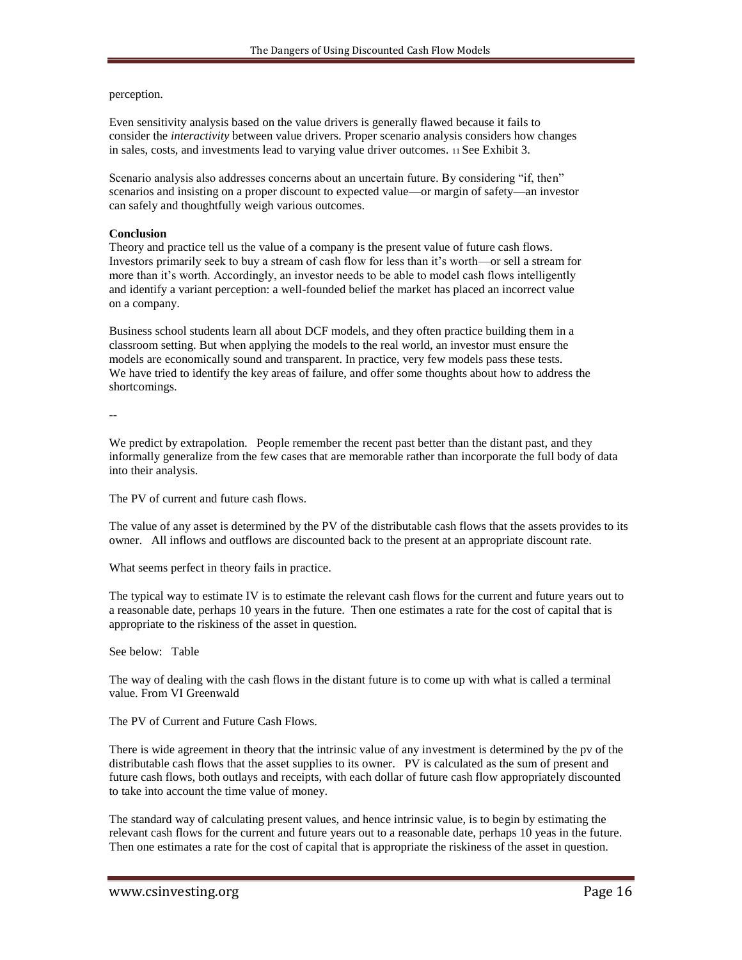### perception.

Even sensitivity analysis based on the value drivers is generally flawed because it fails to consider the *interactivity* between value drivers. Proper scenario analysis considers how changes in sales, costs, and investments lead to varying value driver outcomes. 11 See Exhibit 3.

Scenario analysis also addresses concerns about an uncertain future. By considering "if, then" scenarios and insisting on a proper discount to expected value—or margin of safety—an investor can safely and thoughtfully weigh various outcomes.

### **Conclusion**

Theory and practice tell us the value of a company is the present value of future cash flows. Investors primarily seek to buy a stream of cash flow for less than it's worth—or sell a stream for more than it's worth. Accordingly, an investor needs to be able to model cash flows intelligently and identify a variant perception: a well-founded belief the market has placed an incorrect value on a company.

Business school students learn all about DCF models, and they often practice building them in a classroom setting. But when applying the models to the real world, an investor must ensure the models are economically sound and transparent. In practice, very few models pass these tests. We have tried to identify the key areas of failure, and offer some thoughts about how to address the shortcomings.

--

We predict by extrapolation. People remember the recent past better than the distant past, and they informally generalize from the few cases that are memorable rather than incorporate the full body of data into their analysis.

The PV of current and future cash flows.

The value of any asset is determined by the PV of the distributable cash flows that the assets provides to its owner. All inflows and outflows are discounted back to the present at an appropriate discount rate.

What seems perfect in theory fails in practice.

The typical way to estimate IV is to estimate the relevant cash flows for the current and future years out to a reasonable date, perhaps 10 years in the future. Then one estimates a rate for the cost of capital that is appropriate to the riskiness of the asset in question.

See below: Table

The way of dealing with the cash flows in the distant future is to come up with what is called a terminal value. From VI Greenwald

The PV of Current and Future Cash Flows.

There is wide agreement in theory that the intrinsic value of any investment is determined by the pv of the distributable cash flows that the asset supplies to its owner. PV is calculated as the sum of present and future cash flows, both outlays and receipts, with each dollar of future cash flow appropriately discounted to take into account the time value of money.

The standard way of calculating present values, and hence intrinsic value, is to begin by estimating the relevant cash flows for the current and future years out to a reasonable date, perhaps 10 yeas in the future. Then one estimates a rate for the cost of capital that is appropriate the riskiness of the asset in question.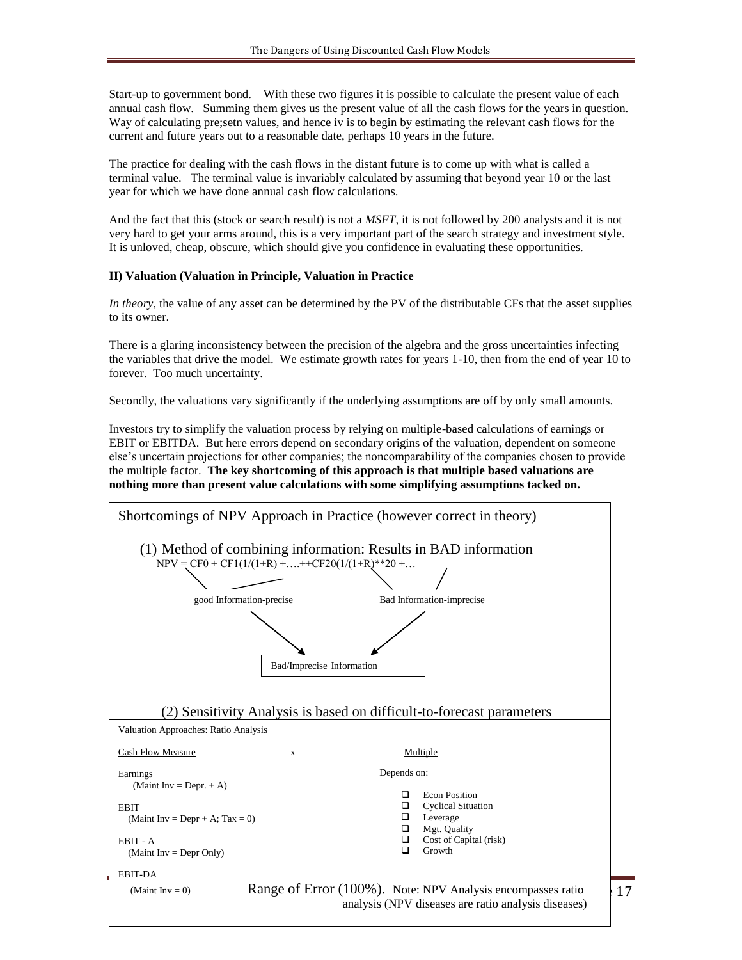Start-up to government bond. With these two figures it is possible to calculate the present value of each annual cash flow. Summing them gives us the present value of all the cash flows for the years in question. Way of calculating pre;setn values, and hence iv is to begin by estimating the relevant cash flows for the current and future years out to a reasonable date, perhaps 10 years in the future.

The practice for dealing with the cash flows in the distant future is to come up with what is called a terminal value. The terminal value is invariably calculated by assuming that beyond year 10 or the last year for which we have done annual cash flow calculations.

And the fact that this (stock or search result) is not a *MSFT*, it is not followed by 200 analysts and it is not very hard to get your arms around, this is a very important part of the search strategy and investment style. It is unloved, cheap, obscure, which should give you confidence in evaluating these opportunities.

### **II) Valuation (Valuation in Principle, Valuation in Practice**

*In theory*, the value of any asset can be determined by the PV of the distributable CFs that the asset supplies to its owner.

There is a glaring inconsistency between the precision of the algebra and the gross uncertainties infecting the variables that drive the model. We estimate growth rates for years 1-10, then from the end of year 10 to forever. Too much uncertainty.

Secondly, the valuations vary significantly if the underlying assumptions are off by only small amounts.

Investors try to simplify the valuation process by relying on multiple-based calculations of earnings or EBIT or EBITDA. But here errors depend on secondary origins of the valuation, dependent on someone else's uncertain projections for other companies; the noncomparability of the companies chosen to provide the multiple factor. **The key shortcoming of this approach is that multiple based valuations are nothing more than present value calculations with some simplifying assumptions tacked on.**

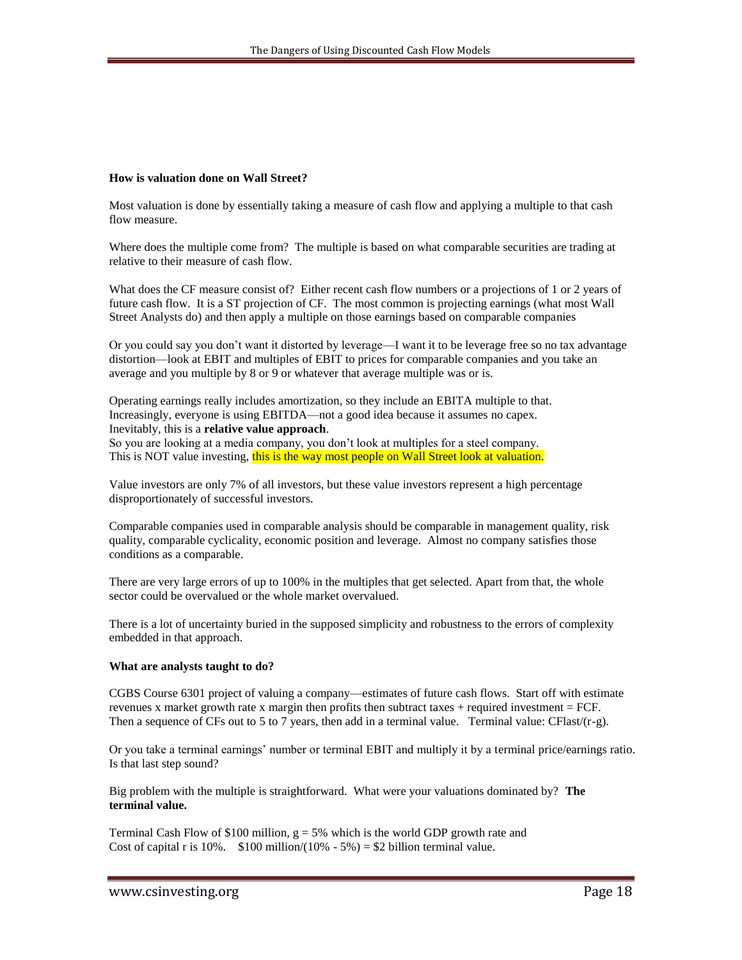### **How is valuation done on Wall Street?**

Most valuation is done by essentially taking a measure of cash flow and applying a multiple to that cash flow measure.

Where does the multiple come from? The multiple is based on what comparable securities are trading at relative to their measure of cash flow.

What does the CF measure consist of? Either recent cash flow numbers or a projections of 1 or 2 years of future cash flow. It is a ST projection of CF. The most common is projecting earnings (what most Wall Street Analysts do) and then apply a multiple on those earnings based on comparable companies

Or you could say you don't want it distorted by leverage—I want it to be leverage free so no tax advantage distortion—look at EBIT and multiples of EBIT to prices for comparable companies and you take an average and you multiple by 8 or 9 or whatever that average multiple was or is.

Operating earnings really includes amortization, so they include an EBITA multiple to that. Increasingly, everyone is using EBITDA—not a good idea because it assumes no capex. Inevitably, this is a **relative value approach**.

So you are looking at a media company, you don't look at multiples for a steel company. This is NOT value investing, this is the way most people on Wall Street look at valuation.

Value investors are only 7% of all investors, but these value investors represent a high percentage disproportionately of successful investors.

Comparable companies used in comparable analysis should be comparable in management quality, risk quality, comparable cyclicality, economic position and leverage. Almost no company satisfies those conditions as a comparable.

There are very large errors of up to 100% in the multiples that get selected. Apart from that, the whole sector could be overvalued or the whole market overvalued.

There is a lot of uncertainty buried in the supposed simplicity and robustness to the errors of complexity embedded in that approach.

#### **What are analysts taught to do?**

CGBS Course 6301 project of valuing a company—estimates of future cash flows. Start off with estimate revenues x market growth rate x margin then profits then subtract taxes + required investment = FCF. Then a sequence of CFs out to 5 to 7 years, then add in a terminal value. Terminal value: CFlast/ $(r-g)$ .

Or you take a terminal earnings' number or terminal EBIT and multiply it by a terminal price/earnings ratio. Is that last step sound?

Big problem with the multiple is straightforward. What were your valuations dominated by? **The terminal value.**

Terminal Cash Flow of \$100 million,  $g = 5%$  which is the world GDP growth rate and Cost of capital r is 10%.  $$100$  million/(10% - 5%) = \$2 billion terminal value.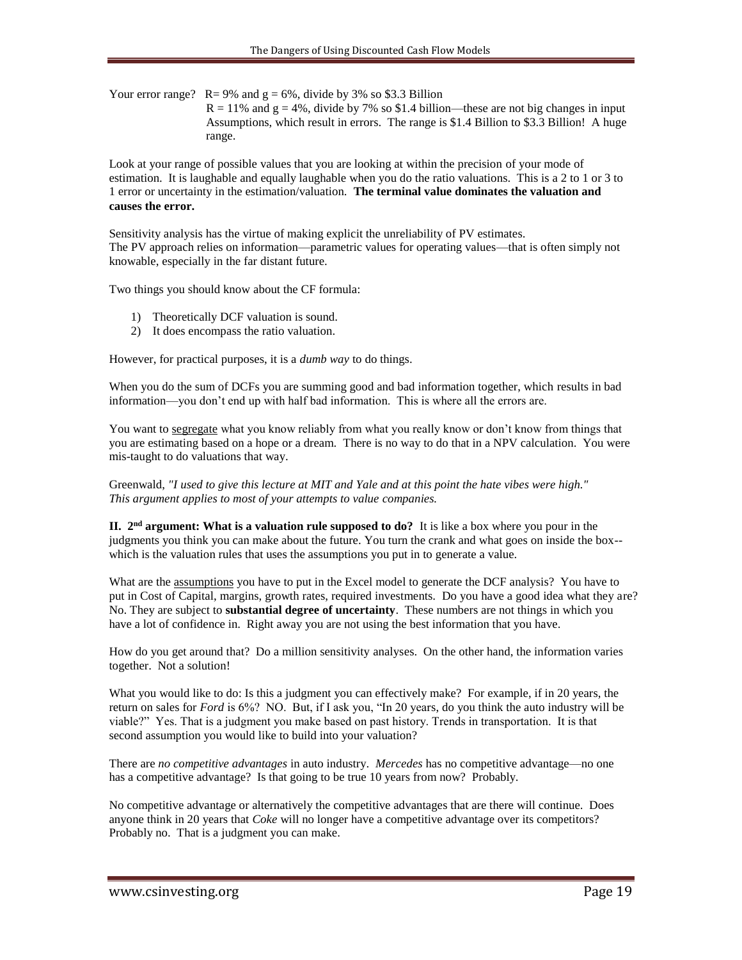Your error range?  $R = 9%$  and  $g = 6%$ , divide by 3% so \$3.3 Billion  $R = 11\%$  and  $g = 4\%$ , divide by 7% so \$1.4 billion—these are not big changes in input Assumptions, which result in errors. The range is \$1.4 Billion to \$3.3 Billion! A huge range.

Look at your range of possible values that you are looking at within the precision of your mode of estimation. It is laughable and equally laughable when you do the ratio valuations. This is a 2 to 1 or 3 to 1 error or uncertainty in the estimation/valuation. **The terminal value dominates the valuation and causes the error.**

Sensitivity analysis has the virtue of making explicit the unreliability of PV estimates. The PV approach relies on information—parametric values for operating values—that is often simply not knowable, especially in the far distant future.

Two things you should know about the CF formula:

- 1) Theoretically DCF valuation is sound.
- 2) It does encompass the ratio valuation.

However, for practical purposes, it is a *dumb way* to do things.

When you do the sum of DCFs you are summing good and bad information together, which results in bad information—you don't end up with half bad information. This is where all the errors are.

You want to segregate what you know reliably from what you really know or don't know from things that you are estimating based on a hope or a dream. There is no way to do that in a NPV calculation. You were mis-taught to do valuations that way.

Greenwald, *"I used to give this lecture at MIT and Yale and at this point the hate vibes were high." This argument applies to most of your attempts to value companies.*

**II. 2nd argument: What is a valuation rule supposed to do?** It is like a box where you pour in the judgments you think you can make about the future. You turn the crank and what goes on inside the box- which is the valuation rules that uses the assumptions you put in to generate a value.

What are the assumptions you have to put in the Excel model to generate the DCF analysis? You have to put in Cost of Capital, margins, growth rates, required investments. Do you have a good idea what they are? No. They are subject to **substantial degree of uncertainty**. These numbers are not things in which you have a lot of confidence in. Right away you are not using the best information that you have.

How do you get around that? Do a million sensitivity analyses. On the other hand, the information varies together. Not a solution!

What you would like to do: Is this a judgment you can effectively make? For example, if in 20 years, the return on sales for *Ford* is 6%? NO. But, if I ask you, "In 20 years, do you think the auto industry will be viable?" Yes. That is a judgment you make based on past history. Trends in transportation. It is that second assumption you would like to build into your valuation?

There are *no competitive advantages* in auto industry. *Mercedes* has no competitive advantage—no one has a competitive advantage? Is that going to be true 10 years from now? Probably.

No competitive advantage or alternatively the competitive advantages that are there will continue. Does anyone think in 20 years that *Coke* will no longer have a competitive advantage over its competitors? Probably no. That is a judgment you can make.